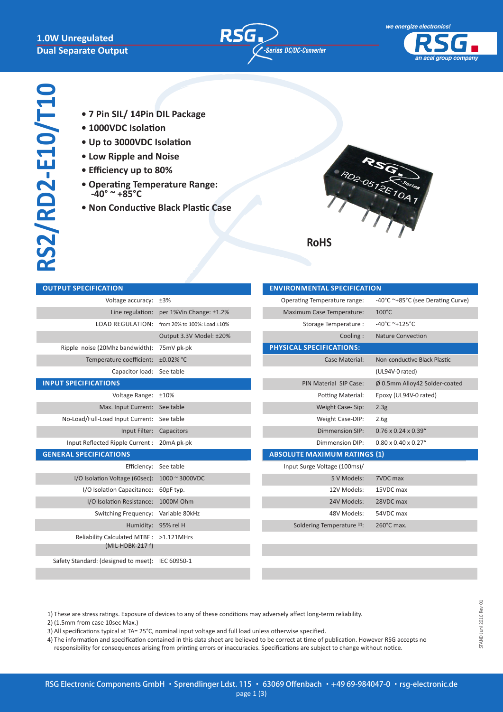### **1.0W Unregulated Dual Separate Output**

**OUTPUT SPECIFICATION** 





- **• 7 Pin SIL/ 14Pin DIL Package**
- **• 1000VDC Isolation**
- **• Up to 3000VDC Isolation**
- **• Low Ripple and Noise**
- **• Efficiency up to 80%**
- **Operating Temperature Range: -40° ~ +85°C**
- **Non Conductive Black Plastic Case**



| Voltage accuracy:                    | ±3%                         | (          |
|--------------------------------------|-----------------------------|------------|
| Line regulation:                     | per 1%Vin Change: ±1.2%     |            |
| <b>LOAD REGULATION:</b>              | from 20% to 100%: Load ±10% |            |
|                                      | Output 3.3V Model: ±20%     |            |
| Ripple noise (20Mhz bandwidth):      | 75mV pk-pk                  | <b>PHY</b> |
| Temperature coefficient:             | ±0.02% °C                   |            |
| Capacitor load:                      | See table                   |            |
| <b>INPUT SPECIFICATIONS</b>          |                             |            |
| Voltage Range:                       | ±10%                        |            |
| Max. Input Current:                  | See table                   |            |
| No-Load/Full-Load Input Current:     | See table                   |            |
| Input Filter:                        | Capacitors                  |            |
| Input Reflected Ripple Current:      | 20mA pk-pk                  |            |
| <b>GENERAL SPECIFICATIONS</b>        |                             | <b>ABS</b> |
| Efficiency:                          | See table                   |            |
| I/O Isolation Voltage (60sec):       | 1000 ~ 3000VDC              |            |
| I/O Isolation Capacitance:           | 60pF typ.                   |            |
| I/O Isolation Resistance:            | 1000M Ohm                   |            |
| Switching Frequency:                 | Variable 80kHz              |            |
| Humidity:                            | 95% rel H                   |            |
| Reliability Calculated MTBF :        | $>1.121$ MHrs               |            |
| $(MIL-HDBK-217 f)$                   |                             |            |
| Safety Standard: (designed to meet): | IEC 60950-1                 |            |
|                                      |                             |            |

| <b>ENVIRONMENTAL SPECIFICATION</b>     |                                   |
|----------------------------------------|-----------------------------------|
| Operating Temperature range:           | -40°C ~+85°C (see Derating Curve) |
| Maximum Case Temperature:              | $100^{\circ}$ C                   |
| Storage Temperature :                  | $-40^{\circ}$ C ~+125°C           |
| Cooling:                               | <b>Nature Convection</b>          |
| PHYSICAL SPECIFICATIONS:               |                                   |
| Case Material:                         | Non-conductive Black Plastic      |
|                                        | (UL94V-0 rated)                   |
| <b>PIN Material SIP Case:</b>          | Ø 0.5mm Alloy42 Solder-coated     |
| Potting Material:                      | Epoxy (UL94V-0 rated)             |
| Weight Case-Sip:                       | 2.3 <sub>g</sub>                  |
| Weight Case-DIP:                       | 2.6g                              |
| <b>Dimmension SIP:</b>                 | $0.76 \times 0.24 \times 0.39$ "  |
| Dimmension DIP:                        | $0.80 \times 0.40 \times 0.27$ "  |
| <b>ABSOLUTE MAXIMUM RATINGS (1)</b>    |                                   |
| Input Surge Voltage (100ms)/           |                                   |
| 5 V Models:                            | 7VDC max                          |
| 12V Models:                            | 15VDC max                         |
| 24V Models:                            | 28VDC max                         |
| 48V Models:                            | 54VDC max                         |
| Soldering Temperature <sup>(2)</sup> : | 260°C max.                        |
|                                        |                                   |

1) These are stress ratings. Exposure of devices to any of these conditions may adversely affect long-term reliability.

- 2) (1.5mm from case 10sec Max.)
- 3) All specifications typical at TA= 25°C, nominal input voltage and full load unless otherwise specified.

4) The information and specification contained in this data sheet are believed to be correct at time of publication. However RSG accepts no responsibility for consequences arising from printing errors or inaccuracies. Specifications are subject to change without notice.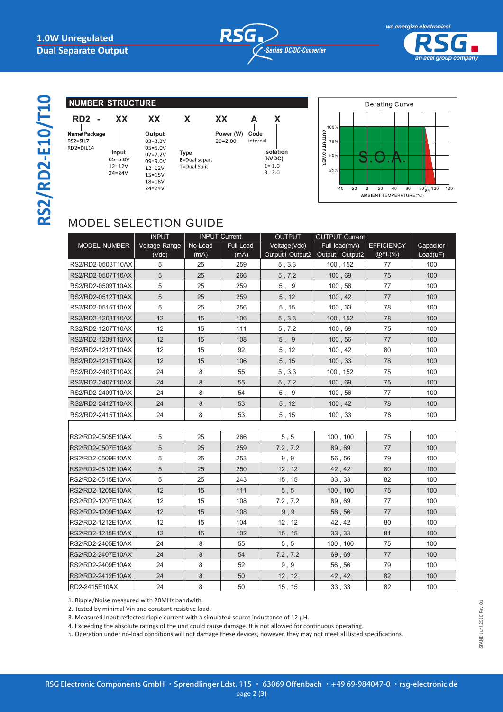



RS2/RD2-E10/T10 **RS2/RD2-E10/T10**

#### **NUMBER STRUCTURE**

| RD <sub>2</sub>             |                                                  | УY                                                                                   |                                       |          |
|-----------------------------|--------------------------------------------------|--------------------------------------------------------------------------------------|---------------------------------------|----------|
| <b>Name/Package</b>         |                                                  | Output                                                                               |                                       | Pow      |
| <b>S2=SIL7</b><br>RD2=DIL14 | Input<br>$05 = 5.0V$<br>$12 = 12V$<br>$24 = 24V$ | $03 = 3.3V$<br>$05 = 5.0V$<br>$07 = 7.2V$<br>$09 = 9.0V$<br>$12 = 12V$<br>$15 = 15V$ | Type<br>E=Dual separ.<br>T=Dual Split | $20 = 2$ |
|                             |                                                  |                                                                                      |                                       |          |

| <u> АА</u>  |
|-------------|
|             |
| Output      |
| $03 = 3.3V$ |
| $05 = 5.0V$ |
| $07 = 7.2V$ |
| $09 = 9.0V$ |
| $12 = 12V$  |
| $15 = 15V$  |
| 18=18V      |
| $74 = 74V$  |

|                                              | Р<br>20 |
|----------------------------------------------|---------|
| <b>Type</b><br>E=Dual separ.<br>T=Dual Split |         |





# MODEL SELECTION GUIDE

|                     | <b>INPUT</b>  | <b>INPUT Current</b> |                  | <b>OUTPUT</b>   | <b>OUTPUT Current</b> |                   |           |
|---------------------|---------------|----------------------|------------------|-----------------|-----------------------|-------------------|-----------|
| <b>MODEL NUMBER</b> | Voltage Range | No-Load              | <b>Full Load</b> | Voltage(Vdc)    | Full load(mA)         | <b>EFFICIENCY</b> | Capacitor |
|                     | (Vdc)         | (mA)                 | (mA)             | Output1 Output2 | Output1 Output2       | @FL(%)            | Load(uF)  |
| RS2/RD2-0503T10AX   | 5             | 25                   | 259              | 5, 3.3          | 100, 152              | 77                | 100       |
| RS2/RD2-0507T10AX   | 5             | 25                   | 266              | 5,7.2           | 100,69                | 75                | 100       |
| RS2/RD2-0509T10AX   | 5             | 25                   | 259              | 5, 9            | 100,56                | 77                | 100       |
| RS2/RD2-0512T10AX   | 5             | 25                   | 259              | 5, 12           | 100, 42               | 77                | 100       |
| RS2/RD2-0515T10AX   | 5             | 25                   | 256              | 5, 15           | 100, 33               | 78                | 100       |
| RS2/RD2-1203T10AX   | 12            | 15                   | 106              | 5, 3.3          | 100, 152              | 78                | 100       |
| RS2/RD2-1207T10AX   | 12            | 15                   | 111              | 5.7.2           | 100,69                | 75                | 100       |
| RS2/RD2-1209T10AX   | 12            | 15                   | 108              | 5,9             | 100, 56               | 77                | 100       |
| RS2/RD2-1212T10AX   | 12            | 15                   | 92               | 5, 12           | 100, 42               | 80                | 100       |
| RS2/RD2-1215T10AX   | 12            | 15                   | 106              | 5, 15           | 100, 33               | 78                | 100       |
| RS2/RD2-2403T10AX   | 24            | 8                    | 55               | 5, 3.3          | 100, 152              | 75                | 100       |
| RS2/RD2-2407T10AX   | 24            | 8                    | 55               | 5,7.2           | 100,69                | 75                | 100       |
| RS2/RD2-2409T10AX   | 24            | 8                    | 54               | 5, 9            | 100,56                | 77                | 100       |
| RS2/RD2-2412T10AX   | 24            | 8                    | 53               | $5,12$          | 100, 42               | 78                | 100       |
| RS2/RD2-2415T10AX   | 24            | 8                    | 53               | 5, 15           | 100, 33               | 78                | 100       |
|                     |               |                      |                  |                 |                       |                   |           |
| RS2/RD2-0505E10AX   | 5             | 25                   | 266              | 5, 5            | 100, 100              | 75                | 100       |
| RS2/RD2-0507E10AX   | 5             | 25                   | 259              | 7.2, 7.2        | 69,69                 | 77                | 100       |
| RS2/RD2-0509E10AX   | 5             | 25                   | 253              | 9.9             | 56,56                 | 79                | 100       |
| RS2/RD2-0512E10AX   | 5             | 25                   | 250              | 12, 12          | 42, 42                | 80                | 100       |
| RS2/RD2-0515E10AX   | 5             | 25                   | 243              | 15, 15          | 33, 33                | 82                | 100       |
| RS2/RD2-1205E10AX   | 12            | 15                   | 111              | 5.5             | 100, 100              | 75                | 100       |
| RS2/RD2-1207E10AX   | 12            | 15                   | 108              | 7.2, 7.2        | 69,69                 | 77                | 100       |
| RS2/RD2-1209E10AX   | 12            | 15                   | 108              | 9, 9            | 56,56                 | 77                | 100       |
| RS2/RD2-1212E10AX   | 12            | 15                   | 104              | 12, 12          | 42, 42                | 80                | 100       |
| RS2/RD2-1215E10AX   | 12            | 15                   | 102              | 15, 15          | 33, 33                | 81                | 100       |
| RS2/RD2-2405E10AX   | 24            | 8                    | 55               | 5.5             | 100, 100              | 75                | 100       |
| RS2/RD2-2407E10AX   | 24            | 8                    | 54               | 7.2, 7.2        | 69,69                 | 77                | 100       |
| RS2/RD2-2409E10AX   | 24            | 8                    | 52               | 9, 9            | 56,56                 | 79                | 100       |
| RS2/RD2-2412E10AX   | 24            | 8                    | 50               | 12, 12          | 42, 42                | 82                | 100       |
| RD2-2415E10AX       | 24            | 8                    | 50               | 15, 15          | 33, 33                | 82                | 100       |

1. Ripple/Noise measured with 20MHz bandwith.

2. Tested by minimal Vin and constant resistive load.

3. Measured Input reflected ripple current with a simulated source inductance of 12 µH.

4. Exceeding the absolute ratings of the unit could cause damage. It is not allowed for continuous operating.

5. Operation under no-load conditions will not damage these devices, however, they may not meet all listed specifications.